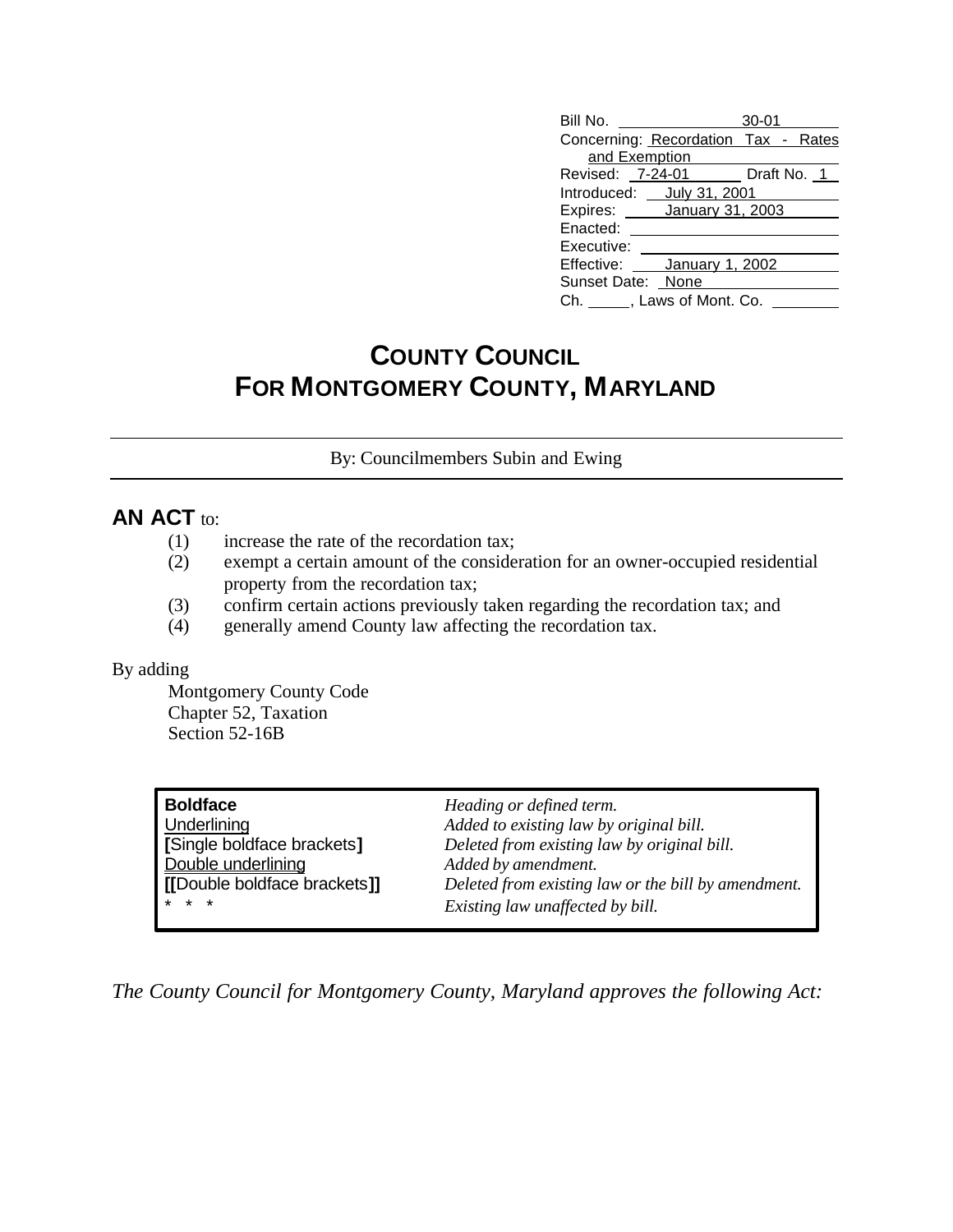| Bill No.                            | $30 - 01$ |
|-------------------------------------|-----------|
| Concerning: Recordation Tax - Rates |           |
| and Exemption                       |           |
| Revised: 7-24-01 Draft No. 1        |           |
| Introduced: _ July 31, 2001         |           |
| Expires: January 31, 2003           |           |
| Enacted:                            |           |
| Executive:                          |           |
| Effective: January 1, 2002          |           |
| Sunset Date: None                   |           |
| Ch. ______, Laws of Mont. Co.       |           |

# **COUNTY COUNCIL FOR MONTGOMERY COUNTY, MARYLAND**

By: Councilmembers Subin and Ewing

# **AN ACT** to:

- (1) increase the rate of the recordation tax;
- (2) exempt a certain amount of the consideration for an owner-occupied residential property from the recordation tax;
- (3) confirm certain actions previously taken regarding the recordation tax; and
- (4) generally amend County law affecting the recordation tax.

#### By adding

Montgomery County Code Chapter 52, Taxation Section 52-16B

| <b>Boldface</b>              | Heading or defined term.                            |
|------------------------------|-----------------------------------------------------|
| Underlining                  | Added to existing law by original bill.             |
| [Single boldface brackets]   | Deleted from existing law by original bill.         |
| Double underlining           | Added by amendment.                                 |
| [[Double boldface brackets]] | Deleted from existing law or the bill by amendment. |
| $* * *$                      | Existing law unaffected by bill.                    |

*The County Council for Montgomery County, Maryland approves the following Act:*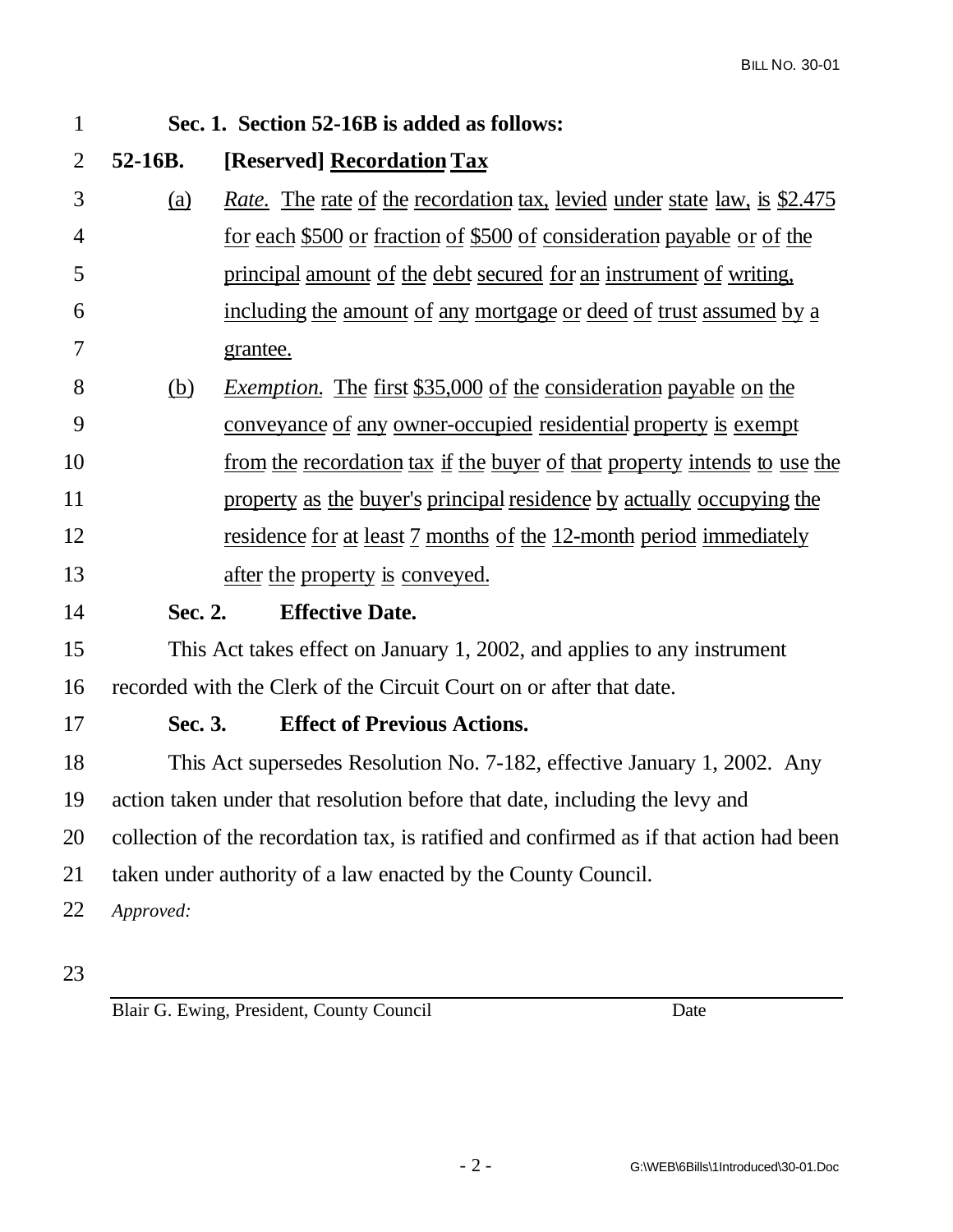| $\mathbf{1}$   |            | Sec. 1. Section 52-16B is added as follows:                                             |
|----------------|------------|-----------------------------------------------------------------------------------------|
| $\overline{2}$ | 52-16B.    | [Reserved] Recordation Tax                                                              |
| 3              | <u>(a)</u> | <i>Rate.</i> The rate of the recordation tax, levied under state law, is \$2.475        |
| 4              |            | <u>for each \$500 or fraction of \$500 of consideration payable or of the</u>           |
| 5              |            | principal amount of the debt secured for an instrument of writing,                      |
| 6              |            | <u>including the amount of any mortgage or deed of trust assumed by a</u>               |
| 7              |            | grantee.                                                                                |
| 8              | <u>(b)</u> | <i>Exemption.</i> The first \$35,000 of the consideration payable on the                |
| 9              |            | <u>conveyance of any owner-occupied residential property is exempt</u>                  |
| 10             |            | from the recordation tax if the buyer of that property intends to use the               |
| 11             |            | property as the buyer's principal residence by actually occupying the                   |
| 12             |            | <u>residence for at least 7 months of the 12-month period immediately</u>               |
| 13             |            | after the property is conveyed.                                                         |
| 14             | Sec. 2.    | <b>Effective Date.</b>                                                                  |
| 15             |            | This Act takes effect on January 1, 2002, and applies to any instrument                 |
| 16             |            | recorded with the Clerk of the Circuit Court on or after that date.                     |
| 17             | Sec. 3.    | <b>Effect of Previous Actions.</b>                                                      |
| 18             |            | This Act supersedes Resolution No. 7-182, effective January 1, 2002. Any                |
| 19             |            | action taken under that resolution before that date, including the levy and             |
| 20             |            | collection of the recordation tax, is ratified and confirmed as if that action had been |
| 21             |            | taken under authority of a law enacted by the County Council.                           |
| 22             | Approved:  |                                                                                         |
|                |            |                                                                                         |

Blair G. Ewing, President, County Council Date